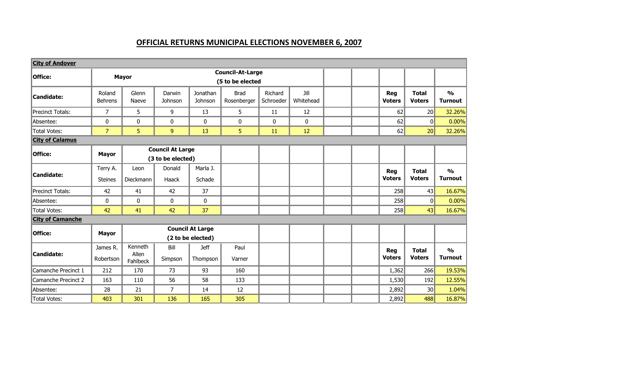## **OFFICIAL RETURNS MUNICIPAL ELECTIONS NOVEMBER 6, 2007**

| <b>City of Andover</b>  |                            |                              |                                              |                                              |                                             |                      |                   |                             |                               |                                 |
|-------------------------|----------------------------|------------------------------|----------------------------------------------|----------------------------------------------|---------------------------------------------|----------------------|-------------------|-----------------------------|-------------------------------|---------------------------------|
| Office:                 | <b>Mayor</b>               |                              |                                              |                                              | <b>Council-At-Large</b><br>(5 to be elected |                      |                   |                             |                               |                                 |
| Candidate:              | Roland<br><b>Behrens</b>   | Glenn<br>Naeve               | Darwin<br>Johnson                            | Jonathan<br>Johnson                          | <b>Brad</b><br>Rosenberger                  | Richard<br>Schroeder | Jill<br>Whitehead | <b>Reg</b><br><b>Voters</b> | <b>Total</b><br><b>Voters</b> | $\frac{1}{2}$<br><b>Turnout</b> |
| Precinct Totals:        | $\overline{7}$             | 5                            | 9                                            | 13                                           | 5                                           | 11                   | 12                | 62                          | 20                            | 32.26%                          |
| Absentee:               | 0                          | 0                            | 0                                            | 0                                            | 0                                           | $\mathbf{0}$         | $\mathbf{0}$      | 62                          | 0                             | 0.00%                           |
| Total Votes:            | $\overline{7}$             | 5                            | 9                                            | 13                                           | 5.                                          | 11                   | 12                | 62                          | 20                            | 32.26%                          |
| <b>City of Calamus</b>  |                            |                              |                                              |                                              |                                             |                      |                   |                             |                               |                                 |
| Office:                 | <b>Mayor</b>               |                              | <b>Council At Large</b><br>(3 to be elected) |                                              |                                             |                      |                   |                             |                               |                                 |
| <b>Candidate:</b>       | Terry A.<br><b>Steines</b> | Leon<br>Dieckmann            | Donald<br>Haack                              | Marla J.<br>Schade                           |                                             |                      |                   | <b>Reg</b><br><b>Voters</b> | <b>Total</b><br><b>Voters</b> | $\frac{1}{2}$<br><b>Turnout</b> |
| Precinct Totals:        | 42                         | 41                           | 42                                           | 37                                           |                                             |                      |                   | 258                         | 43                            | 16.67%                          |
| Absentee:               | 0                          | 0                            | 0                                            | 0                                            |                                             |                      |                   | 258                         | 0                             | 0.00%                           |
| Total Votes:            | 42                         | 41                           | 42                                           | 37                                           |                                             |                      |                   | 258                         | 43                            | 16.67%                          |
| <b>City of Camanche</b> |                            |                              |                                              |                                              |                                             |                      |                   |                             |                               |                                 |
| Office:                 | <b>Mayor</b>               |                              |                                              | <b>Council At Large</b><br>(2 to be elected) |                                             |                      |                   |                             |                               |                                 |
| <b>Candidate:</b>       | James R.<br>Robertson      | Kenneth<br>Allen<br>Fahlbeck | Bill<br>Simpson                              | <b>Jeff</b><br>Thompson                      | Paul<br>Varner                              |                      |                   | <b>Reg</b><br><b>Voters</b> | <b>Total</b><br><b>Voters</b> | $\frac{1}{2}$<br><b>Turnout</b> |
| Camanche Precinct 1     | 212                        | 170                          | 73                                           | 93                                           | 160                                         |                      |                   | 1,362                       | 266                           | 19.53%                          |
| Camanche Precinct 2     | 163                        | 110                          | 56                                           | 58                                           | 133                                         |                      |                   | 1,530                       | 192                           | 12.55%                          |
| Absentee:               | 28                         | 21                           | 7                                            | 14                                           | 12                                          |                      |                   | 2,892                       | 30                            | 1.04%                           |
| Total Votes:            | 403                        | 301                          | 136                                          | 165                                          | 305                                         |                      |                   | 2,892                       | 488                           | 16.87%                          |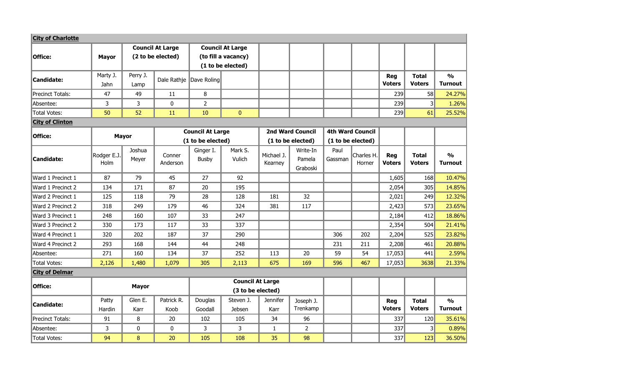| <b>City of Charlotte</b> |                     |                  |                                              |                           |                                                                     |                       |                                |                 |                         |                      |                               |                                 |
|--------------------------|---------------------|------------------|----------------------------------------------|---------------------------|---------------------------------------------------------------------|-----------------------|--------------------------------|-----------------|-------------------------|----------------------|-------------------------------|---------------------------------|
| Office:                  | <b>Mayor</b>        |                  | <b>Council At Large</b><br>(2 to be elected) |                           | <b>Council At Large</b><br>(to fill a vacancy)<br>(1 to be elected) |                       |                                |                 |                         |                      |                               |                                 |
| Candidate:               | Marty J.<br>Jahn    | Perry J.<br>Lamp |                                              | Dale Rathje Dave Roling   |                                                                     |                       |                                |                 |                         | <b>Reg</b><br>Voters | <b>Total</b><br><b>Voters</b> | $\frac{0}{0}$<br><b>Turnout</b> |
| Precinct Totals:         | 47                  | 49               | 11                                           | 8                         |                                                                     |                       |                                |                 |                         | 239                  | 58                            | 24.27%                          |
| Absentee:                | 3                   | 3                | $\boldsymbol{0}$                             | $\overline{2}$            |                                                                     |                       |                                |                 |                         | 239                  | 3 <sup>l</sup>                | 1.26%                           |
| Total Votes:             | 50                  | 52               | 11                                           | 10                        | $\mathbf{0}$                                                        |                       |                                |                 |                         | 239                  | 61                            | 25.52%                          |
| <b>City of Clinton</b>   |                     |                  |                                              |                           |                                                                     |                       |                                |                 |                         |                      |                               |                                 |
| Office:                  |                     | <b>Mayor</b>     |                                              |                           | <b>Council At Large</b>                                             |                       | <b>2nd Ward Council</b>        |                 | <b>4th Ward Council</b> |                      |                               |                                 |
|                          |                     |                  | (1 to be elected)                            |                           |                                                                     |                       | (1 to be elected)              |                 | (1 to be elected)       |                      |                               |                                 |
| Candidate:               | Rodger E.J.<br>Holm | Joshua<br>Meyer  | Conner<br>Anderson                           | Ginger I.<br><b>Busby</b> | Mark S.<br>Vulich                                                   | Michael J.<br>Kearney | Write-In<br>Pamela<br>Graboski | Paul<br>Gassman | Charles H.<br>Horner    | Reg<br><b>Voters</b> | <b>Total</b><br><b>Voters</b> | $\frac{0}{0}$<br><b>Turnout</b> |
| Ward 1 Precinct 1        | 87                  | 79               | 45                                           | 27                        | 92                                                                  |                       |                                |                 |                         | 1,605                | 168                           | 10.47%                          |
| Ward 1 Precinct 2        | 134                 | 171              | 87                                           | 20                        | 195                                                                 |                       |                                |                 |                         | 2,054                | 305                           | 14.85%                          |
| Ward 2 Precinct 1        | 125                 | 118              | 79                                           | 28                        | 128                                                                 | 181                   | 32                             |                 |                         | 2,021                | 249                           | 12.32%                          |
| Ward 2 Precinct 2        | 318                 | 249              | 179                                          | 46                        | 324                                                                 | 381                   | 117                            |                 |                         | 2,423                | 573                           | 23.65%                          |
| Ward 3 Precinct 1        | 248                 | 160              | 107                                          | 33                        | 247                                                                 |                       |                                |                 |                         | 2,184                | 412                           | 18.86%                          |
| Ward 3 Precinct 2        | 330                 | 173              | 117                                          | 33                        | 337                                                                 |                       |                                |                 |                         | 2,354                | 504                           | 21.41%                          |
| Ward 4 Precinct 1        | 320                 | 202              | 187                                          | 37                        | 290                                                                 |                       |                                | 306             | 202                     | 2,204                | 525                           | 23.82%                          |
| Ward 4 Precinct 2        | 293                 | 168              | 144                                          | 44                        | 248                                                                 |                       |                                | 231             | 211                     | 2,208                | 461                           | 20.88%                          |
| Absentee:                | 271                 | 160              | 134                                          | 37                        | 252                                                                 | 113                   | 20                             | 59              | 54                      | 17,053               | 441                           | 2.59%                           |
| Total Votes:             | 2,126               | 1,480            | 1,079                                        | 305                       | 2,113                                                               | 675                   | 169                            | 596             | 467                     | 17,053               | 3638                          | 21.33%                          |
| <b>City of Delmar</b>    |                     |                  |                                              |                           |                                                                     |                       |                                |                 |                         |                      |                               |                                 |
| Office:                  |                     | <b>Mayor</b>     |                                              |                           | <b>Council At Large</b><br>(3 to be elected)                        |                       |                                |                 |                         |                      |                               |                                 |
| Candidate:               | Patty<br>Hardin     | Glen E.<br>Karr  | Patrick R.<br>Koob                           | Douglas<br>Goodall        | Steven J.<br><b>Jebsen</b>                                          | Jennifer<br>Karr      | Joseph J.<br>Trenkamp          |                 |                         | <b>Reg</b><br>Voters | <b>Total</b><br><b>Voters</b> | $\frac{0}{0}$<br><b>Turnout</b> |
| Precinct Totals:         | 91                  | 8                | 20                                           | 102                       | 105                                                                 | 34                    | 96                             |                 |                         | 337                  | 120                           | 35.61%                          |
| Absentee:                | 3                   | 0                | $\boldsymbol{0}$                             | 3                         | 3                                                                   | $\mathbf{1}$          | $\overline{2}$                 |                 |                         | 337                  | $\vert$ 3                     | 0.89%                           |
| Total Votes:             | 94                  | 8                | 20                                           | 105                       | 108                                                                 | 35                    | 98                             |                 |                         | 337                  | 123                           | 36.50%                          |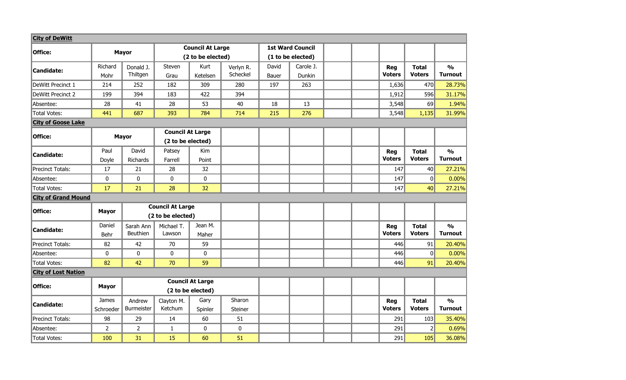| <b>City of DeWitt</b>      |                           |                                              |                         |                         |                       |                         |                     |  |                             |                               |                                 |
|----------------------------|---------------------------|----------------------------------------------|-------------------------|-------------------------|-----------------------|-------------------------|---------------------|--|-----------------------------|-------------------------------|---------------------------------|
| Office:                    |                           |                                              |                         | <b>Council At Large</b> |                       | <b>1st Ward Council</b> |                     |  |                             |                               |                                 |
|                            |                           | <b>Mayor</b>                                 |                         | (2 to be elected)       |                       | (1 to be elected)       |                     |  |                             |                               |                                 |
| Candidate:                 | Richard<br>Mohr           | Donald J.<br>Thiltgen                        | <b>Steven</b><br>Grau   | Kurt<br>Ketelsen        | Verlyn R.<br>Scheckel | David<br>Bauer          | Carole J.<br>Dunkin |  | Reg<br><b>Voters</b>        | <b>Total</b><br><b>Voters</b> | $\frac{0}{0}$<br><b>Turnout</b> |
| DeWitt Precinct 1          | 214                       | 252                                          | 182                     | 309                     | 280                   | 197                     | 263                 |  | 1,636                       | 470                           | 28.73%                          |
| DeWitt Precinct 2          | 199                       | 394                                          | 183                     | 422                     | 394                   |                         |                     |  | 1,912                       | 596                           | 31.17%                          |
| Absentee:                  | 28                        | 41                                           | 28                      | 53                      | 40                    | 18                      | 13                  |  | 3,548                       | 69                            | 1.94%                           |
| Total Votes:               | 441                       | 687                                          | 393                     | 784                     | 714                   | 215                     | 276                 |  | 3,548                       | 1,135                         | 31.99%                          |
| <b>City of Goose Lake</b>  |                           |                                              |                         |                         |                       |                         |                     |  |                             |                               |                                 |
| Office:                    | <b>Mayor</b>              |                                              | <b>Council At Large</b> |                         |                       |                         |                     |  |                             |                               |                                 |
|                            |                           |                                              | (2 to be elected)       |                         |                       |                         |                     |  |                             |                               |                                 |
| <b>Candidate:</b>          | Paul<br>Doyle             | David<br>Richards                            | Patsey<br>Farrell       | Kim<br>Point            |                       |                         |                     |  | <b>Reg</b><br><b>Voters</b> | <b>Total</b><br><b>Voters</b> | $\frac{0}{0}$<br><b>Turnout</b> |
| Precinct Totals:           | 17                        | 21                                           | 28                      | 32                      |                       |                         |                     |  | 147                         | 40                            | 27.21%                          |
| Absentee:                  | $\pmb{0}$                 | $\pmb{0}$                                    | $\mathbf 0$             | $\bf{0}$                |                       |                         |                     |  | 147                         | 0                             | 0.00%                           |
| Total Votes:               | 17                        | 21                                           | 28                      | 32                      |                       |                         |                     |  | 147                         | 40                            | 27.21%                          |
| <b>City of Grand Mound</b> |                           |                                              |                         |                         |                       |                         |                     |  |                             |                               |                                 |
| Office:                    | <b>Mayor</b>              |                                              | <b>Council At Large</b> |                         |                       |                         |                     |  |                             |                               |                                 |
|                            |                           |                                              | (2 to be elected)       |                         |                       |                         |                     |  |                             |                               |                                 |
| Candidate:                 | Daniel<br>Behr            | Sarah Ann<br>Beuthien                        | Michael T.<br>Lawson    | Jean M.<br>Maher        |                       |                         |                     |  | <b>Reg</b><br><b>Voters</b> | <b>Total</b><br><b>Voters</b> | $\frac{1}{2}$<br><b>Turnout</b> |
| Precinct Totals:           | 82                        | 42                                           | 70                      | 59                      |                       |                         |                     |  | 446                         | 91                            | 20.40%                          |
| Absentee:                  | 0                         | $\pmb{0}$                                    | $\mathbf 0$             | $\mathbf 0$             |                       |                         |                     |  | 446                         | $\Omega$                      | 0.00%                           |
| Total Votes:               | 82                        | 42                                           | 70                      | 59                      |                       |                         |                     |  | 446                         | 91                            | 20.40%                          |
| <b>City of Lost Nation</b> |                           |                                              |                         |                         |                       |                         |                     |  |                             |                               |                                 |
| Office:                    | <b>Mayor</b>              | <b>Council At Large</b><br>(2 to be elected) |                         |                         |                       |                         |                     |  |                             |                               |                                 |
| <b>Candidate:</b>          | <b>James</b><br>Schroeder | Andrew<br>Burmeister                         | Clayton M.<br>Ketchum   | Gary<br>Spinler         | Sharon<br>Steiner     |                         |                     |  | <b>Reg</b><br><b>Voters</b> | <b>Total</b><br><b>Voters</b> | $\frac{1}{2}$<br><b>Turnout</b> |
| Precinct Totals:           | 98                        | 29                                           | 14                      | 60                      | 51                    |                         |                     |  | 291                         | 103                           | 35.40%                          |
| Absentee:                  | $\overline{2}$            | $\overline{2}$                               | 1                       | 0                       | 0                     |                         |                     |  | 291                         | 2                             | 0.69%                           |
| Total Votes:               | 100                       | 31                                           | 15                      | 60                      | 51                    |                         |                     |  | 291                         | 105                           | 36.08%                          |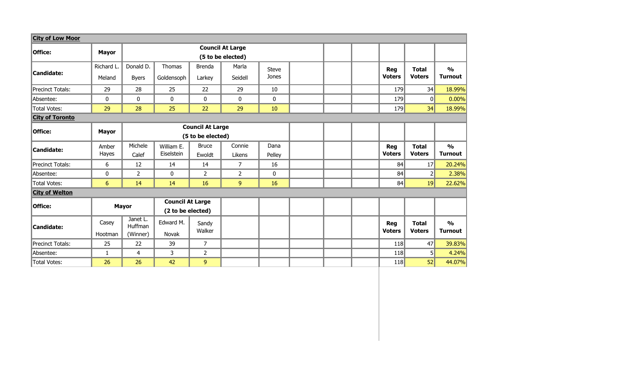| <b>City of Low Moor</b> |              |              |                         |                   |                         |              |  |  |  |               |                |                |
|-------------------------|--------------|--------------|-------------------------|-------------------|-------------------------|--------------|--|--|--|---------------|----------------|----------------|
|                         |              |              |                         |                   | <b>Council At Large</b> |              |  |  |  |               |                |                |
| <b>Office:</b>          | <b>Mayor</b> |              |                         |                   | (5 to be elected)       |              |  |  |  |               |                |                |
|                         | Richard L.   | Donald D.    | Thomas                  | <b>Brenda</b>     | Marla                   | <b>Steve</b> |  |  |  | Reg           | <b>Total</b>   | $\frac{1}{2}$  |
| Candidate:              | Meland       | <b>Byers</b> | Goldensoph              | Larkey            | Seidell                 | Jones        |  |  |  | <b>Voters</b> | <b>Voters</b>  | <b>Turnout</b> |
| Precinct Totals:        | 29           | 28           | 25                      | 22                | 29                      | 10           |  |  |  | 179           | 34             | 18.99%         |
| Absentee:               | 0            | $\mathbf 0$  | $\mathbf 0$             | $\mathbf 0$       | 0                       | 0            |  |  |  | 179           | $\mathbf{0}$   | 0.00%          |
| <b>Total Votes:</b>     | 29           | 28           | 25                      | 22                | 29                      | 10           |  |  |  | 179           | 34             | 18.99%         |
| <b>City of Toronto</b>  |              |              |                         |                   |                         |              |  |  |  |               |                |                |
| Office:                 |              |              | <b>Council At Large</b> |                   |                         |              |  |  |  |               |                |                |
|                         | <b>Mayor</b> |              |                         | (5 to be elected) |                         |              |  |  |  |               |                |                |
| Candidate:              | Amber        | Michele      | William E.              | <b>Bruce</b>      | Connie                  | Dana         |  |  |  | <b>Reg</b>    | <b>Total</b>   | $\frac{0}{0}$  |
|                         | Hayes        | Calef        | Eiselstein              | Ewoldt            | Likens                  | Pelley       |  |  |  | <b>Voters</b> | <b>Voters</b>  | <b>Turnout</b> |
| Precinct Totals:        | 6            | 12           | 14                      | 14                | 7                       | 16           |  |  |  | 84            | 17             | 20.24%         |
| Absentee:               | 0            | 2            | $\mathbf 0$             | 2                 | 2                       | 0            |  |  |  | 84            | $\overline{2}$ | 2.38%          |
| Total Votes:            | 6            | 14           | 14                      | 16                | 9                       | 16           |  |  |  | 84            | 19             | 22.62%         |
| <b>City of Welton</b>   |              |              |                         |                   |                         |              |  |  |  |               |                |                |
| Office:                 |              |              | <b>Council At Large</b> |                   |                         |              |  |  |  |               |                |                |
|                         |              | <b>Mayor</b> | (2 to be elected)       |                   |                         |              |  |  |  |               |                |                |
|                         | Casey        | Janet L.     | Edward M.               | Sandy             |                         |              |  |  |  | <b>Reg</b>    | <b>Total</b>   | $\frac{0}{0}$  |
| Candidate:              | Hootman      | Huffman      | Novak                   | Walker            |                         |              |  |  |  | <b>Voters</b> | <b>Voters</b>  | <b>Turnout</b> |
|                         |              | (Winner)     |                         |                   |                         |              |  |  |  |               |                |                |
| Precinct Totals:        | 25           | 22           | 39                      | 7                 |                         |              |  |  |  | 118           | 47             | 39.83%         |
| Absentee:               | $\mathbf{1}$ | 4            | 3                       | $\overline{2}$    |                         |              |  |  |  | 118           | 5 <sup>1</sup> | 4.24%          |
| Total Votes:            | 26           | 26           | 42                      | 9                 |                         |              |  |  |  | 118           | 52             | 44.07%         |